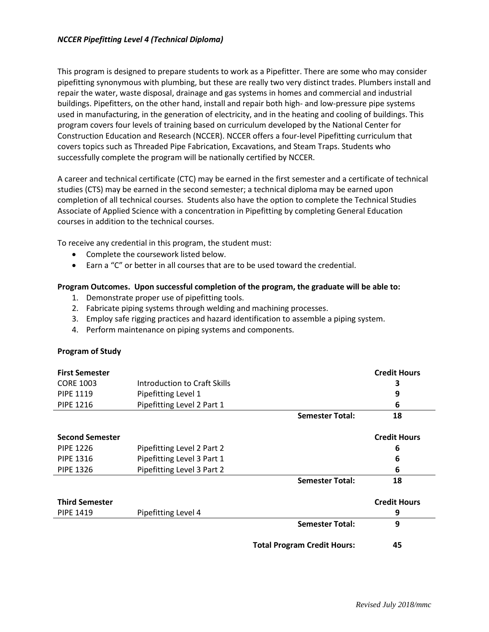This program is designed to prepare students to work as a Pipefitter. There are some who may consider pipefitting synonymous with plumbing, but these are really two very distinct trades. Plumbers install and repair the water, waste disposal, drainage and gas systems in homes and commercial and industrial buildings. Pipefitters, on the other hand, install and repair both high- and low-pressure pipe systems used in manufacturing, in the generation of electricity, and in the heating and cooling of buildings. This program covers four levels of training based on curriculum developed by the National Center for Construction Education and Research (NCCER). NCCER offers a four-level Pipefitting curriculum that covers topics such as Threaded Pipe Fabrication, Excavations, and Steam Traps. Students who successfully complete the program will be nationally certified by NCCER.

A career and technical certificate (CTC) may be earned in the first semester and a certificate of technical studies (CTS) may be earned in the second semester; a technical diploma may be earned upon completion of all technical courses. Students also have the option to complete the Technical Studies Associate of Applied Science with a concentration in Pipefitting by completing General Education courses in addition to the technical courses.

To receive any credential in this program, the student must:

- Complete the coursework listed below.
- Earn a "C" or better in all courses that are to be used toward the credential.

## **Program Outcomes. Upon successful completion of the program, the graduate will be able to:**

- 1. Demonstrate proper use of pipefitting tools.
- 2. Fabricate piping systems through welding and machining processes.
- 3. Employ safe rigging practices and hazard identification to assemble a piping system.
- 4. Perform maintenance on piping systems and components.

## **Program of Study**

| <b>First Semester</b>  |                              |                        | <b>Credit Hours</b> |
|------------------------|------------------------------|------------------------|---------------------|
| <b>CORE 1003</b>       | Introduction to Craft Skills |                        | 3                   |
| <b>PIPE 1119</b>       | Pipefitting Level 1          |                        | 9                   |
| <b>PIPE 1216</b>       | Pipefitting Level 2 Part 1   |                        | 6                   |
|                        |                              | <b>Semester Total:</b> | 18                  |
| <b>Second Semester</b> |                              |                        | <b>Credit Hours</b> |
| <b>PIPE 1226</b>       | Pipefitting Level 2 Part 2   |                        | 6                   |
| <b>PIPE 1316</b>       | Pipefitting Level 3 Part 1   |                        | 6                   |
| <b>PIPE 1326</b>       | Pipefitting Level 3 Part 2   |                        | 6                   |
|                        |                              | <b>Semester Total:</b> | 18                  |
| <b>Third Semester</b>  |                              |                        | <b>Credit Hours</b> |
| <b>PIPE 1419</b>       | Pipefitting Level 4          |                        | 9                   |
|                        |                              | <b>Semester Total:</b> | 9                   |

**Total Program Credit Hours: 45**